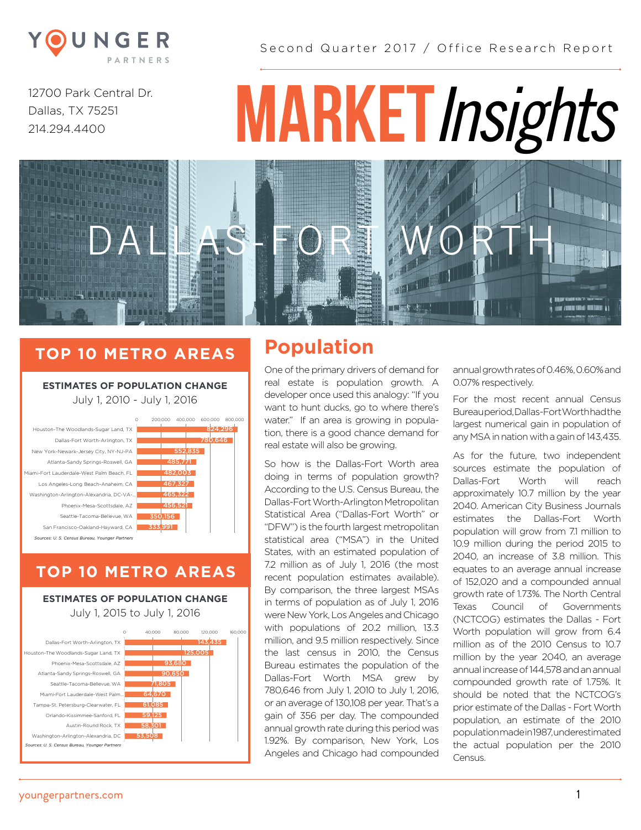

Second Quarter 2017 / Office Research Report

12700 Park Central Dr. Dallas, TX 75251 214.294.4400

<u> Announcessuung</u><br>Announcessuung

# **MARKET***Insights*

# **TOP 10 METRO AREAS Population**

**ESTIMATES OF POPULATION CHANGE** Estimates of Population Change July 1, 2010 - July 1, 2016 July 1, 2010 - July 1, 2016

|                                                | 200.000 | 400,000 | 600.000 | 800,000 |
|------------------------------------------------|---------|---------|---------|---------|
| Houston-The Woodlands-Sugar Land, TX           |         |         | 824.296 |         |
| Dallas-Fort Worth-Arlington, TX                |         |         | 780.646 |         |
| New York-Newark-Jersey City, NY-NJ-PA          |         | 552,835 |         |         |
| Atlanta-Sandy Springs-Roswell, GA              |         | 485.771 |         |         |
| Miami-Fort Lauderdale-West Palm Beach. FL      |         | 482.003 |         |         |
| Los Angeles-Long Beach-Anaheim, CA             |         | 467,327 |         |         |
| Washington-Arlington-Alexandria, DC-VA-        |         | 465.322 |         |         |
| Phoenix-Mesa-Scottsdale, AZ                    |         | 456.521 |         |         |
| Seattle-Tacoma-Bellevue, WA                    | 350,156 |         |         |         |
| San Francisco-Oakland-Hayward, CA              | 333,991 |         |         |         |
| Sources: U. S. Census Bureau, Younger Partners |         |         |         |         |
|                                                |         |         |         |         |

#### 0 METRO A July 1, 2015 to July 1, 2016 *Sources: U. S. Census Bureau, Younger Partners* **TOP 10 METRO AREAS**

San Francisco-Oakland-Hayward, CA

333,991

July 1, 2015 to July 1, 2016 **ESTIMATES OF POPULATION CHANGE** 



DALLAS-FORT WORTH

One of the primary drivers of demand for real estate is population growth. A developer once used this analogy: "If you want to hunt ducks, go to where there's water." If an area is growing in population, there is a good chance demand for real estate will also be growing.

So how is the Dallas-Fort Worth area doing in terms of population growth? According to the U.S. Census Bureau, the Dallas-Fort Worth-Arlington Metropolitan Statistical Area ("Dallas-Fort Worth" or "DFW") is the fourth largest metropolitan statistical area ("MSA") in the United States, with an estimated population of 7.2 million as of July 1, 2016 (the most recent population estimates available). By comparison, the three largest MSAs in terms of population as of July 1, 2016 were New York, Los Angeles and Chicago with populations of 20.2 million, 13.3 million, and 9.5 million respectively. Since the last census in 2010, the Census Bureau estimates the population of the Dallas-Fort Worth MSA grew by 780,646 from July 1, 2010 to July 1, 2016, or an average of 130,108 per year. That's a gain of 356 per day. The compounded annual growth rate during this period was 1.92%. By comparison, New York, Los Angeles and Chicago had compounded annual growth rates of 0.46%, 0.60% and 0.07% respectively.

**IN ITHE TIME! MENUEL I** 

For the most recent annual Census Bureau period, Dallas-Fort Worth had the largest numerical gain in population of any MSA in nation with a gain of 143,435.

As for the future, two independent sources estimate the population of Dallas-Fort Worth will reach approximately 10.7 million by the year 2040. American City Business Journals estimates the Dallas-Fort Worth population will grow from 7.1 million to 10.9 million during the period 2015 to 2040, an increase of 3.8 million. This equates to an average annual increase of 152,020 and a compounded annual growth rate of 1.73%. The North Central Texas Council of Governments (NCTCOG) estimates the Dallas - Fort Worth population will grow from 6.4 million as of the 2010 Census to 10.7 million by the year 2040, an average annual increase of 144,578 and an annual compounded growth rate of 1.75%. It should be noted that the NCTCOG's prior estimate of the Dallas - Fort Worth population, an estimate of the 2010 population made in 1987, underestimated the actual population per the 2010 Census.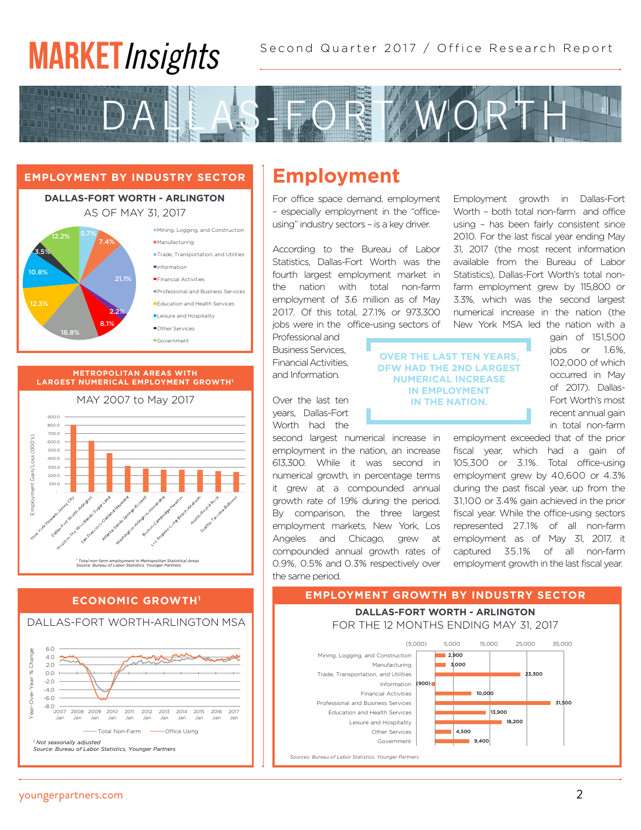# **MARKET***Insights*



## **EMPLOYMENT BY INDUSTRY SECTOR Employment**

 $\mathbb{E}_{\mathbf{z}}$  . In the Industry Sector Sector Sector Sector Sector Sector Sector

#### Dallas-Fort Worth-Arlington **DALLAS-FORT WORTH - ARLINGTON**  $\sum_{i=1}^{n}$ AS OF MAY 31, 2017



#### **METROPOLITAN AREAS WITH LARGEST NUMERICAL EMPLOYMENT GROWTH1**



### *Source: Bureau of Labor Statistics, Younger Partners* Dallas-Fort Worth-Arlington MSA **ECONOMIC GROWTH1**

Employment Growth 1

*<sup>1</sup> Total non-farm employment in Metropolitan Statistical Areas*



For office space demand, employment – especially employment in the "officeusing" industry sectors – is a key driver.

According to the Bureau of Labor Statistics, Dallas-Fort Worth was the fourth largest employment market in the nation with total non-farm employment of 3.6 million as of May 2017. Of this total, 27.1% or 973,300 jobs were in the office-using sectors of

Professional and BusinessServices, Financial Activities, and Information.

Over the last ten years, Dallas-Fort Worth had the

second largest numerical increase in employment in the nation, an increase 613,300. While it was second in numerical growth, in percentage terms it grew at a compounded annual growth rate of 1.9% during the period. By comparison, the three largest employment markets, New York, Los Angeles and Chicago, grew at compounded annual growth rates of 0.9%, 0.5% and 0.3% respectively over the same period.

Employment growth in Dallas-Fort Worth – both total non-farm and office using – has been fairly consistent since 2010. For the last fiscal year ending May 31, 2017 (the most recent information available from the Bureau of Labor Statistics), Dallas-Fort Worth's total nonfarm employment grew by 115,800 or 3.3%, which was the second largest numerical increase in the nation (the New York MSA led the nation with a

**OVER THE LAST TEN YEARS, DFW HAD THE 2ND LARGEST NUMERICAL INCREASE IN EMPLOYMENT IN THE NATION.**

gain of 151,500 jobs or 1.6%, 102,000 of which occurred in May of 2017). Dallas-Fort Worth's most recent annual gain in total non-farm

employment exceeded that of the prior fiscal year, which had a gain of 105,300 or 3.1%. Total office-using employment grew by 40,600 or 4.3% during the past fiscal year, up from the 31,100 or 3.4% gain achieved in the prior fiscal year. While the office-using sectors represented 27.1% of all non-farm employment as of May 31, 2017, it captured 35.1% of all non-farm employment growth in the last fiscal year.

#### **EMPLOYMENT GROWTH BY INDUSTRY SECTOR** For the 12 Months Ending May 31, 2017



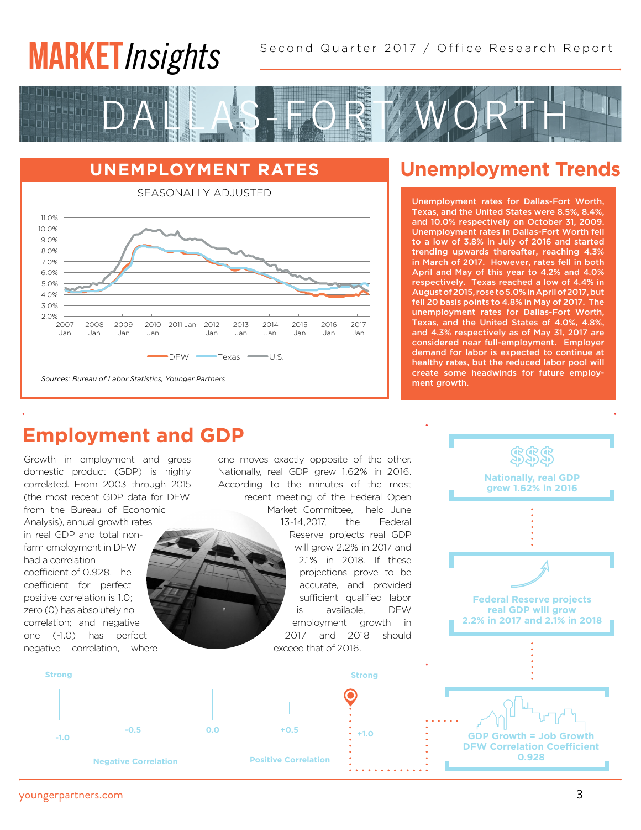#### $\overline{\phantom{a}}$ Education and Health Services Leks In **MARKET***Insights*

Second Quarter 2017 / Office Research Report  $2.9118$ 



## **UNEMPLOYMENT RATES**



#### CONALLY AD JUST

# **Unemployment Trends**

Unemployment rates for Dallas-Fort Worth, Texas, and the United States were 8.5%, 8.4%, and 10.0% respectively on October 31, 2009. Unemployment rates in Dallas-Fort Worth fell to a low of 3.8% in July of 2016 and started trending upwards thereafter, reaching 4.3% in March of 2017. However, rates fell in both April and May of this year to 4.2% and 4.0% respectively. Texas reached a low of 4.4% in August of 2015, rose to 5.0% in April of 2017, but fell 20 basis points to 4.8% in May of 2017. The unemployment rates for Dallas-Fort Worth, Texas, and the United States of 4.0%, 4.8%, and 4.3% respectively as of May 31, 2017 are considered near full-employment. Employer demand for labor is expected to continue at healthy rates, but the reduced labor pool will create some headwinds for future employment growth.

## **Employment and GDP**

Growth in employment and gross domestic product (GDP) is highly correlated. From 2003 through 2015 (the most recent GDP data for DFW from the Bureau of Economic Analysis), annual growth rates in real GDP and total nonfarm employment in DFW had a correlation coefficient of 0.928. The coefficient for perfect positive correlation is 1.0; zero (0) has absolutely no correlation; and negative one (-1.0) has perfect negative correlation, where

one moves exactly opposite of the other. Nationally, real GDP grew 1.62% in 2016. According to the minutes of the most recent meeting of the Federal Open

Market Committee, held June 13-14,2017, the Federal Reserve projects real GDP will grow 2.2% in 2017 and 2.1% in 2018. If these projections prove to be accurate, and provided sufficient qualified labor is available, DFW employment growth in 2017 and 2018 should exceed that of 2016.



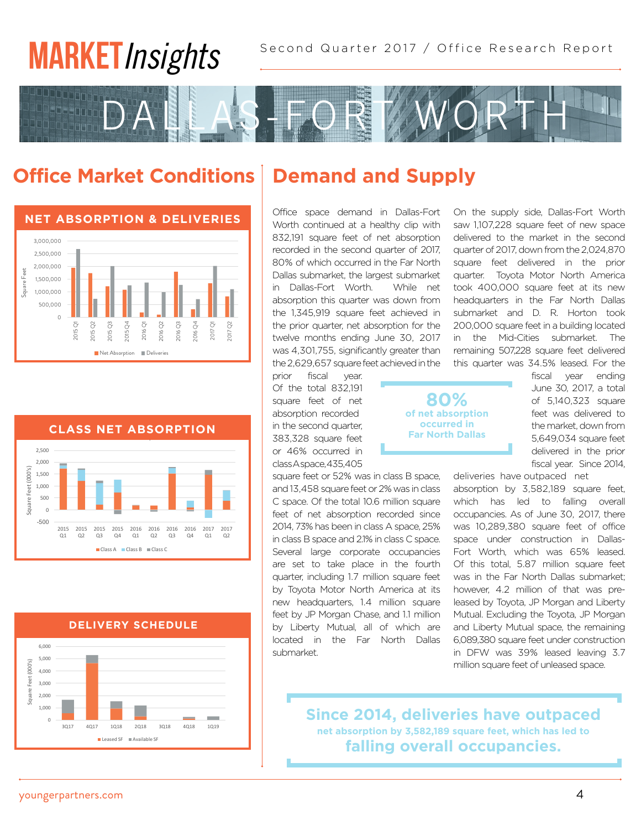# **MARKET***Insights*



# **Office Market Conditions**







# **Demand and Supply**

Office space demand in Dallas-Fort Worth continued at a healthy clip with 832,191 square feet of net absorption recorded in the second quarter of 2017, 80% of which occurred in the Far North Dallas submarket, the largest submarket in Dallas-Fort Worth. While net absorption this quarter was down from the 1,345,919 square feet achieved in the prior quarter, net absorption for the twelve months ending June 30, 2017 was 4,301,755, significantly greater than the 2,629,657 square feet achieved in the

prior fiscal year. Of the total 832,191 square feet of net absorption recorded in the second quarter, 383,328 square feet or 46% occurred in class A space, 435,405

square feet or 52% was in class B space, and 13,458 square feet or 2% was in class C space. Of the total 10.6 million square feet of net absorption recorded since 2014, 73% has been in class A space, 25% in class B space and 2.1% in class C space. Several large corporate occupancies are set to take place in the fourth quarter, including 1.7 million square feet by Toyota Motor North America at its new headquarters, 1.4 million square feet by JP Morgan Chase, and 1.1 million by Liberty Mutual, all of which are located in the Far North Dallas submarket.

On the supply side, Dallas-Fort Worth saw 1,107,228 square feet of new space delivered to the market in the second quarter of 2017, down from the 2,024,870 square feet delivered in the prior quarter. Toyota Motor North America took 400,000 square feet at its new headquarters in the Far North Dallas submarket and D. R. Horton took 200,000 square feet in a building located in the Mid-Cities submarket. The remaining 507,228 square feet delivered this quarter was 34.5% leased. For the

**80% of net absorption occurred in Far North Dallas**

fiscal year ending June 30, 2017, a total of 5,140,323 square feet was delivered to the market, down from 5,649,034 square feet delivered in the prior fiscal year. Since 2014,

deliveries have outpaced net absorption by 3,582,189 square feet, which has led to falling overall occupancies. As of June 30, 2017, there was 10,289,380 square feet of office space under construction in Dallas-Fort Worth, which was 65% leased. Of this total, 5.87 million square feet was in the Far North Dallas submarket; however, 4.2 million of that was preleased by Toyota, JP Morgan and Liberty Mutual. Excluding the Toyota, JP Morgan and Liberty Mutual space, the remaining 6,089,380 square feet under construction in DFW was 39% leased leaving 3.7 million square feet of unleased space.

**Since 2014, deliveries have outpaced net absorption by 3,582,189 square feet, which has led to falling overall occupancies.**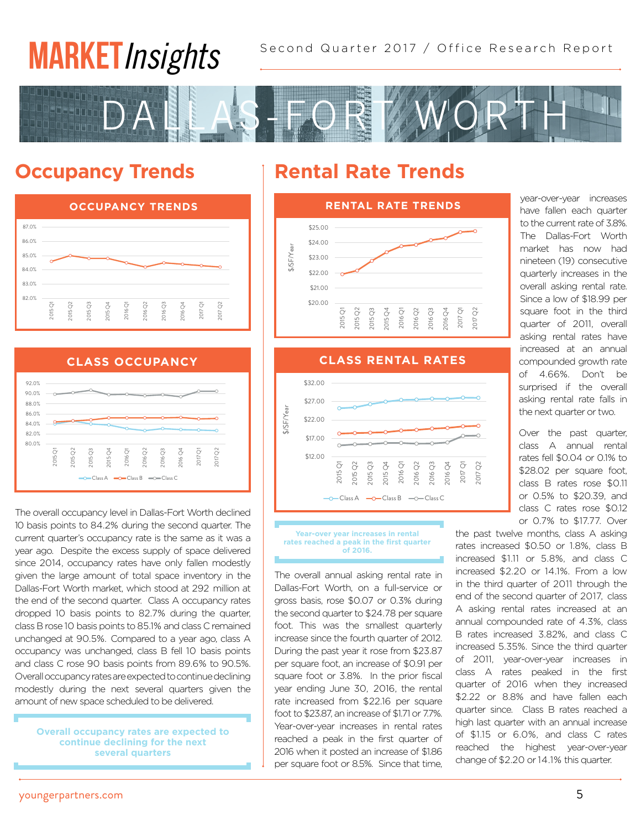# Second Quarter 2017 / Office Research Report **MARKET***Insights*



#### **Occupancy Trends** Leased SF Available SF





The overall occupancy level in Dallas-Fort Worth declined 10 basis points to 84.2% during the second quarter. The current quarter's occupancy rate is the same as it was a year ago. Despite the excess supply of space delivered since 2014, occupancy rates have only fallen modestly given the large amount of total space inventory in the Dallas-Fort Worth market, which stood at 292 million at the end of the second quarter. Class A occupancy rates dropped 10 basis points to 82.7% during the quarter, class B rose 10 basis points to 85.1% and class C remained unchanged at 90.5%. Compared to a year ago, class A occupancy was unchanged, class B fell 10 basis points and class C rose 90 basis points from 89.6% to 90.5%. Overall occupancy rates are expected to continue declining modestly during the next several quarters given the amount of new space scheduled to be delivered.

**Overall occupancy rates are expected to continue declining for the next several quarters**

# **Rental Rate Trends**



\$32.00 \$32.00  $\frac{1}{2}$  $\degree$  $\degree$  $\frac{4}{3}$  $\overline{O}$  $\tilde{\circ}$  $\degree$  $\overline{c}$  $\ddot{\zeta}$  $\frac{1}{2}$ **.**<br>Sir **CLASS RENTAL RATES CLASS RENTAL RATES CLASS RENTAL RATES**  $\begin{array}{ccccc} \sim & \sim & \sim & \sim & \sim & \sim \end{array}$ \$12.00 \$17.00 \$22.00 \$27.00 2015 Q1 2015 Q2 2015 2015 Q4 2016 Q1 2016 Q2 2016 2016 Q4 2017 Q1 2017 Q2 \$/SF/Year  $\overline{C}$ lass A  $\overline{C}$  Class B  $\overline{C}$  Class C

**Year-over year increases in rental rates reached a peak in the first quarter of 2016.**

The overall annual asking rental rate in Dallas-Fort Worth, on a full-service or gross basis, rose \$0.07 or 0.3% during the second quarter to \$24.78 per square foot. This was the smallest quarterly increase since the fourth quarter of 2012. During the past year it rose from \$23.87 per square foot, an increase of \$0.91 per square foot or 3.8%. In the prior fiscal year ending June 30, 2016, the rental rate increased from \$22.16 per square foot to \$23.87, an increase of \$1.71 or 7.7%. Year-over-year increases in rental rates reached a peak in the first quarter of 2016 when it posted an increase of \$1.86 per square foot or 8.5%. Since that time, year-over-year increases have fallen each quarter to the current rate of 3.8%. The Dallas-Fort Worth market has now had nineteen (19) consecutive quarterly increases in the overall asking rental rate. Since a low of \$18.99 per square foot in the third quarter of 2011, overall asking rental rates have increased at an annual compounded growth rate of 4.66%. Don't be surprised if the overall asking rental rate falls in the next quarter or two.

Over the past quarter, class A annual rental rates fell \$0.04 or 0.1% to \$28.02 per square foot. class B rates rose \$0.11 or 0.5% to \$20.39, and class C rates rose \$0.12 or 0.7% to \$17.77. Over

the past twelve months, class A asking rates increased \$0.50 or 1.8%, class B increased \$1.11 or 5.8%, and class C increased \$2.20 or 14.1%. From a low in the third quarter of 2011 through the end of the second quarter of 2017, class A asking rental rates increased at an annual compounded rate of 4.3%, class B rates increased 3.82%, and class C increased 5.35%. Since the third quarter of 2011, year-over-year increases in class A rates peaked in the first quarter of 2016 when they increased \$2.22 or 8.8% and have fallen each quarter since. Class B rates reached a high last quarter with an annual increase of \$1.15 or 6.0%, and class C rates reached the highest year-over-year change of \$2.20 or 14.1% this quarter.